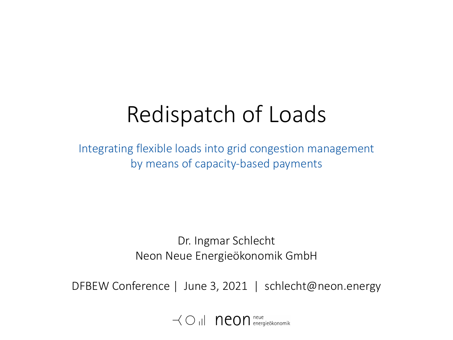# Redispatch of Loads

Integrating flexible loads into grid congestion management by means of capacity-based payments

> Dr. Ingmar Schlecht Neon Neue Energieökonomik GmbH

DFBEW Conference | June 3, 2021 | schlecht@neon.energy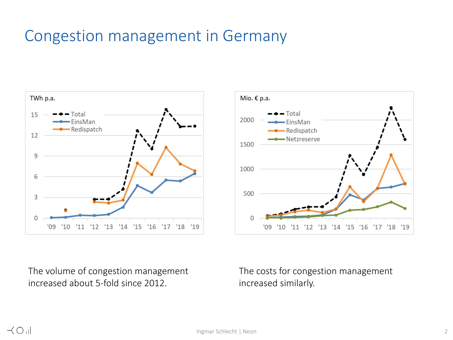### Congestion management in Germany





The volume of congestion management increased about 5-fold since 2012.

The costs for congestion management increased similarly.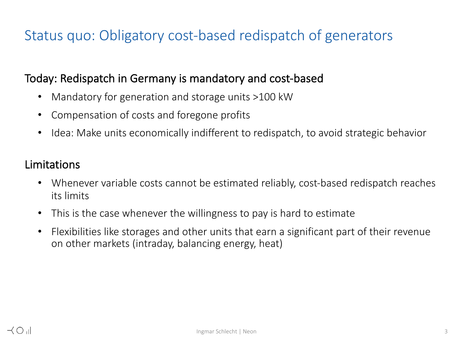### Status quo: Obligatory cost-based redispatch of generators

### Today: Redispatch in Germany is mandatory and cost-based

- Mandatory for generation and storage units >100 kW
- Compensation of costs and foregone profits
- Idea: Make units economically indifferent to redispatch, to avoid strategic behavior

### Limitations

- Whenever variable costs cannot be estimated reliably, cost-based redispatch reaches its limits
- This is the case whenever the willingness to pay is hard to estimate
- Flexibilities like storages and other units that earn a significant part of their revenue on other markets (intraday, balancing energy, heat)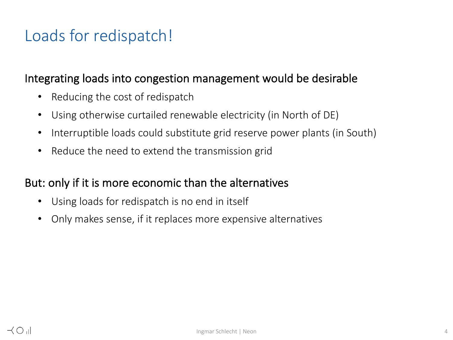### Loads for redispatch!

### Integrating loads into congestion management would be desirable

- Reducing the cost of redispatch
- Using otherwise curtailed renewable electricity (in North of DE)
- Interruptible loads could substitute grid reserve power plants (in South)
- Reduce the need to extend the transmission grid

### But: only if it is more economic than the alternatives

- Using loads for redispatch is no end in itself
- Only makes sense, if it replaces more expensive alternatives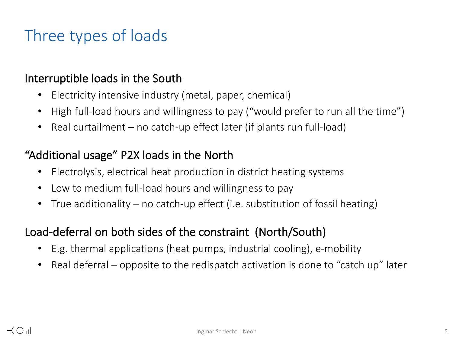## Three types of loads

### Interruptible loads in the South

- Electricity intensive industry (metal, paper, chemical)
- High full-load hours and willingness to pay ("would prefer to run all the time")
- Real curtailment no catch-up effect later (if plants run full-load)

### "Additional usage" P2X loads in the North

- Electrolysis, electrical heat production in district heating systems
- Low to medium full-load hours and willingness to pay
- True additionality no catch-up effect (i.e. substitution of fossil heating)

### Load-deferral on both sides of the constraint (North/South)

- E.g. thermal applications (heat pumps, industrial cooling), e-mobility
- Real deferral opposite to the redispatch activation is done to "catch up" later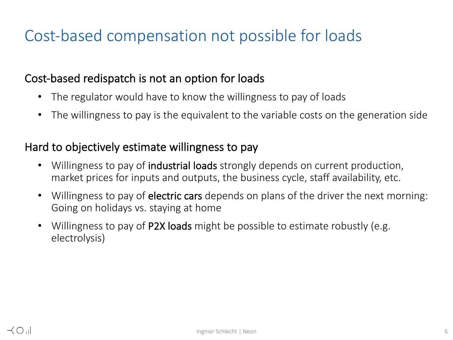## Cost-based compensation not possible for loads

### Cost-based redispatch is not an option for loads

- The regulator would have to know the willingness to pay of loads
- The willingness to pay is the equivalent to the variable costs on the generation side

### Hard to objectively estimate willingness to pay

- Willingness to pay of **industrial loads** strongly depends on current production, market prices for inputs and outputs, the business cycle, staff availability, etc.
- Willingness to pay of **electric cars** depends on plans of the driver the next morning: Going on holidays vs. staying at home
- Willingness to pay of P2X loads might be possible to estimate robustly (e.g. electrolysis)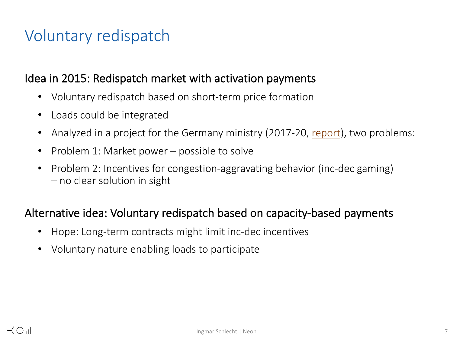# Voluntary redispatch

### Idea in 2015: Redispatch market with activation payments

- Voluntary redispatch based on short-term price formation
- Loads could be integrated
- Analyzed in a project for the Germany ministry (2017-20, report), two pro
- Problem 1: Market power possible to solve
- Problem 2: Incentives for congestion-aggravating behavior (inc-dec gamin – no clear solution in sight

### Alternative idea: Voluntary redispatch based on capacity-based paymen

- Hope: Long-term contracts might limit inc-dec incentives
- Voluntary nature enabling loads to participate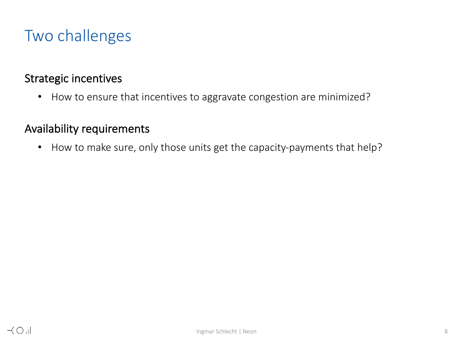## Two challenges

#### Strategic incentives

• How to ensure that incentives to aggravate congestion are minimized?

### Availability requirements

• How to make sure, only those units get the capacity-payments that help?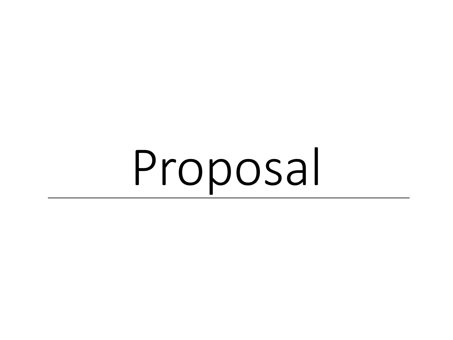Proposal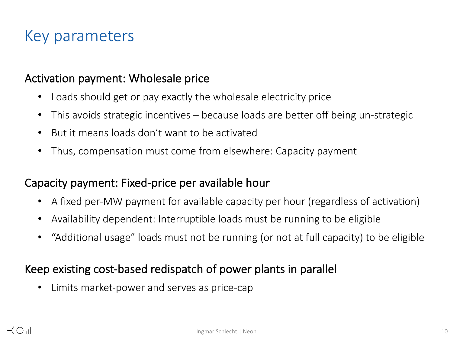### Key parameters

#### Activation payment: Wholesale price

- Loads should get or pay exactly the wholesale electricity price
- This avoids strategic incentives because loads are better off being un-strategic
- But it means loads don't want to be activated
- Thus, compensation must come from elsewhere: Capacity payment

### Capacity payment: Fixed-price per available hour

- A fixed per-MW payment for available capacity per hour (regardless of activation)
- Availability dependent: Interruptible loads must be running to be eligible
- "Additional usage" loads must not be running (or not at full capacity) to be eligible

### Keep existing cost-based redispatch of power plants in parallel

• Limits market-power and serves as price-cap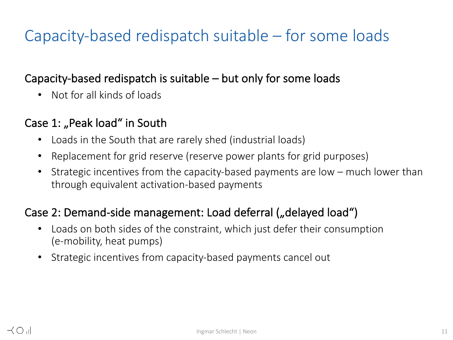# Capacity-based redispatch suitable – for some loads

### Capacity-based redispatch is suitable – but only for some loads

• Not for all kinds of loads

### Case 1: "Peak load" in South

- Loads in the South that are rarely shed (industrial loads)
- Replacement for grid reserve (reserve power plants for grid purposes)
- Strategic incentives from the capacity-based payments are low much lower than through equivalent activation-based payments

### Case 2: Demand-side management: Load deferral ("delayed load")

- Loads on both sides of the constraint, which just defer their consumption (e-mobility, heat pumps)
- Strategic incentives from capacity-based payments cancel out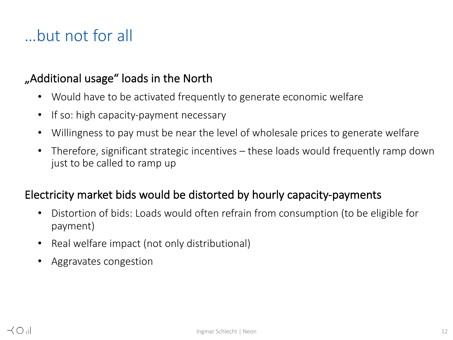# …but not for all

### "Additional usage" loads in the North

- Would have to be activated frequently to generate economic welfare
- If so: high capacity-payment necessary
- Willingness to pay must be near the level of wholesale prices to generate welfare
- Therefore, significant strategic incentives these loads would frequently ramp down just to be called to ramp up

### Electricity market bids would be distorted by hourly capacity-payments

- Distortion of bids: Loads would often refrain from consumption (to be eligible for payment)
- Real welfare impact (not only distributional)
- Aggravates congestion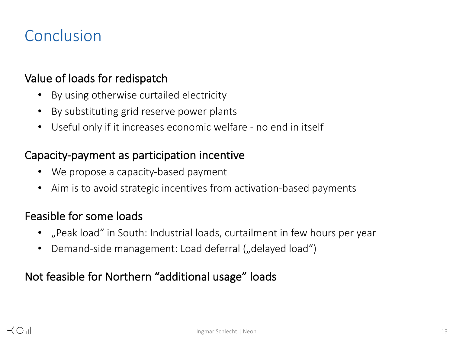### Conclusion

### Value of loads for redispatch

- By using otherwise curtailed electricity
- By substituting grid reserve power plants
- Useful only if it increases economic welfare no end in itself

#### Capacity-payment as participation incentive

- We propose a capacity-based payment
- Aim is to avoid strategic incentives from activation-based payments

#### Feasible for some loads

- "Peak load" in South: Industrial loads, curtailment in few hours per year
- Demand-side management: Load deferral ("delayed load")

### Not feasible for Northern "additional usage" loads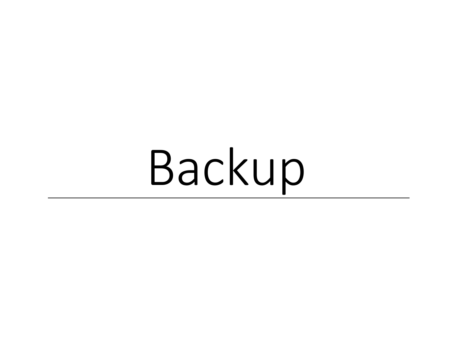Backup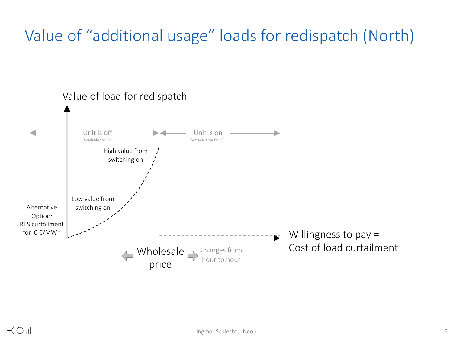# Value of "additional usage" loads for redispatch (North)

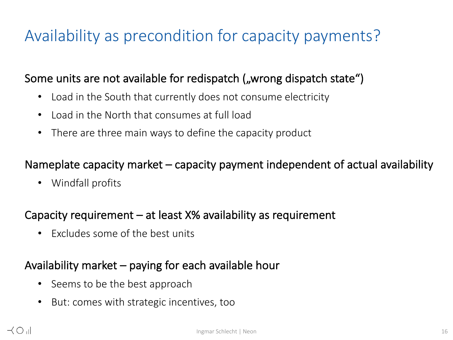# Availability as precondition for capacity payments?

### Some units are not available for redispatch ("wrong dispatch state")

- Load in the South that currently does not consume electricity
- Load in the North that consumes at full load
- There are three main ways to define the capacity product

### Nameplate capacity market – capacity payment independent of actual availability

• Windfall profits

### Capacity requirement – at least X% availability as requirement

• Excludes some of the best units

### Availability market – paying for each available hour

- Seems to be the best approach
- But: comes with strategic incentives, too